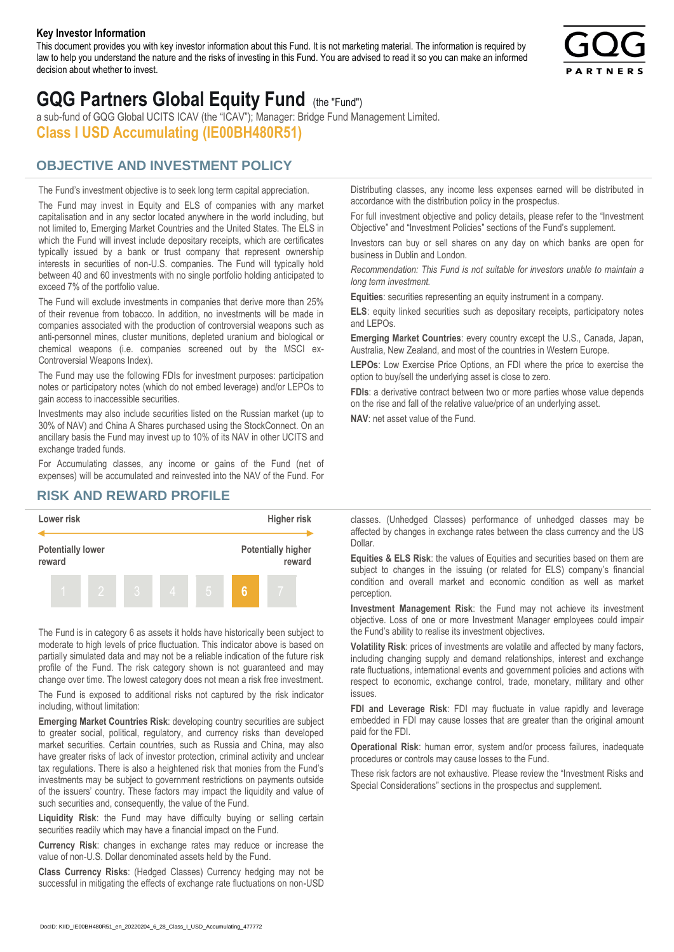#### **Key Investor Information**

This document provides you with key investor information about this Fund. It is not marketing material. The information is required by law to help you understand the nature and the risks of investing in this Fund. You are advised to read it so you can make an informed decision about whether to invest.



# **GQG Partners Global Equity Fund** (the "Fund")

a sub-fund of GQG Global UCITS ICAV (the "ICAV"); Manager: Bridge Fund Management Limited. **Class I USD Accumulating (IE00BH480R51)**

## **OBJECTIVE AND INVESTMENT POLICY**

The Fund's investment objective is to seek long term capital appreciation. The Fund may invest in Equity and ELS of companies with any market capitalisation and in any sector located anywhere in the world including, but not limited to, Emerging Market Countries and the United States. The ELS in which the Fund will invest include depositary receipts, which are certificates typically issued by a bank or trust company that represent ownership interests in securities of non-U.S. companies. The Fund will typically hold between 40 and 60 investments with no single portfolio holding anticipated to exceed 7% of the portfolio value.

The Fund will exclude investments in companies that derive more than 25% of their revenue from tobacco. In addition, no investments will be made in companies associated with the production of controversial weapons such as anti-personnel mines, cluster munitions, depleted uranium and biological or chemical weapons (i.e. companies screened out by the MSCI ex-Controversial Weapons Index).

The Fund may use the following FDIs for investment purposes: participation notes or participatory notes (which do not embed leverage) and/or LEPOs to gain access to inaccessible securities.

Investments may also include securities listed on the Russian market (up to 30% of NAV) and China A Shares purchased using the StockConnect. On an ancillary basis the Fund may invest up to 10% of its NAV in other UCITS and exchange traded funds.

For Accumulating classes, any income or gains of the Fund (net of expenses) will be accumulated and reinvested into the NAV of the Fund. For Distributing classes, any income less expenses earned will be distributed in accordance with the distribution policy in the prospectus.

For full investment objective and policy details, please refer to the "Investment Objective" and "Investment Policies" sections of the Fund's supplement.

Investors can buy or sell shares on any day on which banks are open for business in Dublin and London.

*Recommendation: This Fund is not suitable for investors unable to maintain a long term investment.*

**Equities**: securities representing an equity instrument in a company.

**ELS**: equity linked securities such as depositary receipts, participatory notes and LEPOs.

**Emerging Market Countries**: every country except the U.S., Canada, Japan, Australia, New Zealand, and most of the countries in Western Europe.

**LEPOs**: Low Exercise Price Options, an FDI where the price to exercise the option to buy/sell the underlying asset is close to zero.

**FDIs**: a derivative contract between two or more parties whose value depends on the rise and fall of the relative value/price of an underlying asset.

**NAV**: net asset value of the Fund.

### **RISK AND REWARD PROFILE**



The Fund is in category 6 as assets it holds have historically been subject to moderate to high levels of price fluctuation. This indicator above is based on partially simulated data and may not be a reliable indication of the future risk profile of the Fund. The risk category shown is not guaranteed and may change over time. The lowest category does not mean a risk free investment.

The Fund is exposed to additional risks not captured by the risk indicator including, without limitation:

**Emerging Market Countries Risk**: developing country securities are subject to greater social, political, regulatory, and currency risks than developed market securities. Certain countries, such as Russia and China, may also have greater risks of lack of investor protection, criminal activity and unclear tax regulations. There is also a heightened risk that monies from the Fund's investments may be subject to government restrictions on payments outside of the issuers' country. These factors may impact the liquidity and value of such securities and, consequently, the value of the Fund.

**Liquidity Risk**: the Fund may have difficulty buying or selling certain securities readily which may have a financial impact on the Fund.

**Currency Risk**: changes in exchange rates may reduce or increase the value of non-U.S. Dollar denominated assets held by the Fund.

**Class Currency Risks**: (Hedged Classes) Currency hedging may not be successful in mitigating the effects of exchange rate fluctuations on non-USD classes. (Unhedged Classes) performance of unhedged classes may be affected by changes in exchange rates between the class currency and the US Dollar.

**Equities & ELS Risk**: the values of Equities and securities based on them are subject to changes in the issuing (or related for ELS) company's financial condition and overall market and economic condition as well as market perception.

**Investment Management Risk**: the Fund may not achieve its investment objective. Loss of one or more Investment Manager employees could impair the Fund's ability to realise its investment objectives.

**Volatility Risk**: prices of investments are volatile and affected by many factors, including changing supply and demand relationships, interest and exchange rate fluctuations, international events and government policies and actions with respect to economic, exchange control, trade, monetary, military and other issues.

**FDI and Leverage Risk**: FDI may fluctuate in value rapidly and leverage embedded in FDI may cause losses that are greater than the original amount paid for the FDI.

**Operational Risk**: human error, system and/or process failures, inadequate procedures or controls may cause losses to the Fund.

These risk factors are not exhaustive. Please review the "Investment Risks and Special Considerations" sections in the prospectus and supplement.